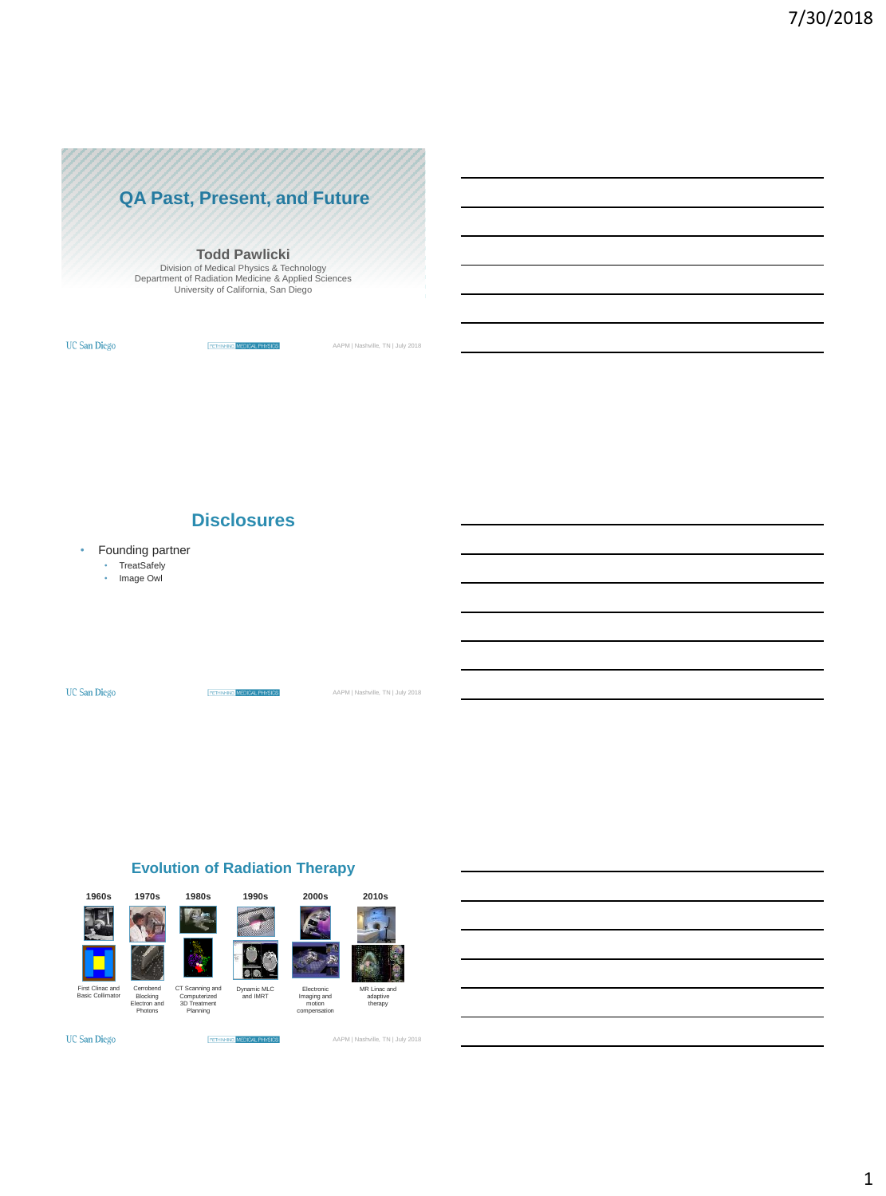

#### **Todd Pawlicki**

Division of Medical Physics & Technology Department of Radiation Medicine & Applied Sciences University of California, San Diego

**UC San Diego** 

**RETHINGNS** MEDICAL PHYSICS

AAPM | Nashville, TN | July 2018

**Disclosures**

• Founding partner

• TreatSafely • Image Owl

**UC San Diego** 

**RETHINKINS** MEDICAL PHYSICS AAPM | Nashville, TN | July 2018

### **Evolution of Radiation Therapy**



**RETHNANG MEDICA** 

 $\infty$ 

**UC San Diego**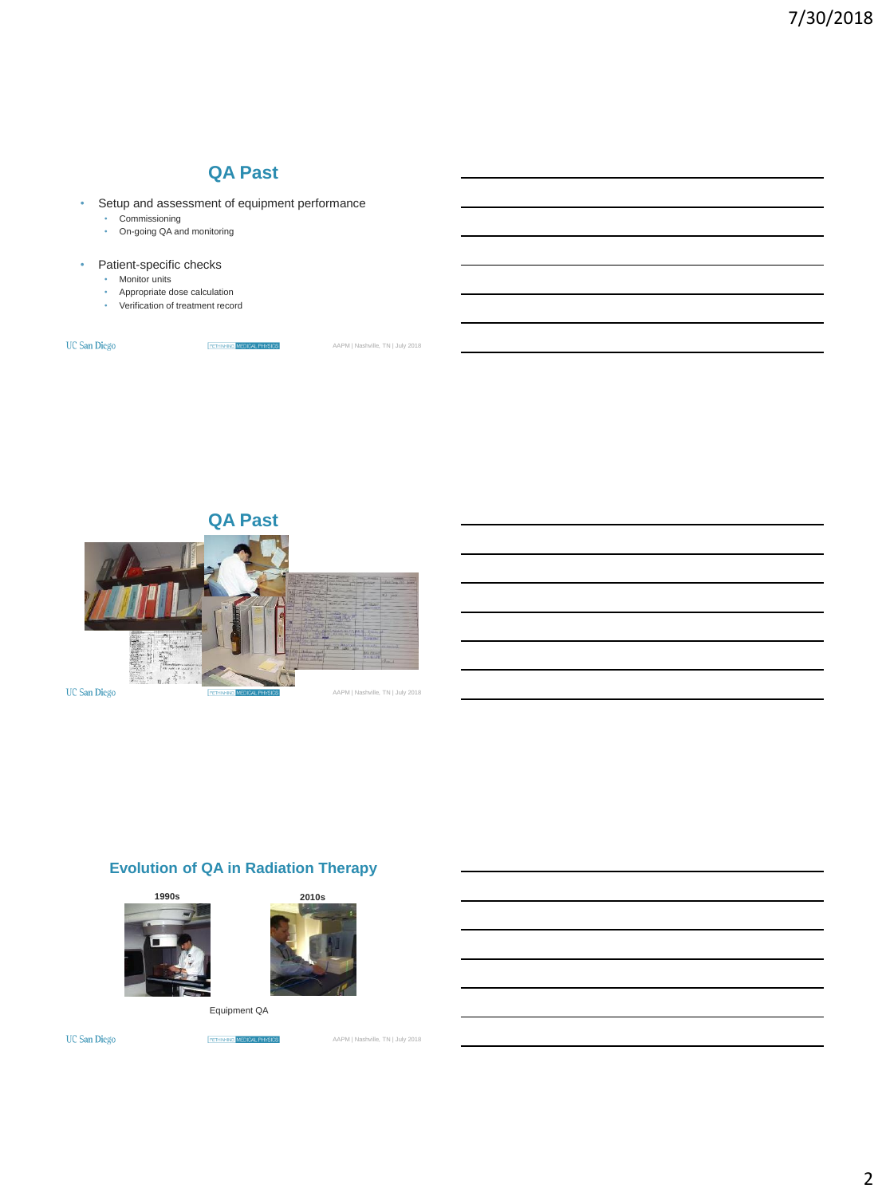

#### • Patient-specific checks

- Monitor units
- Appropriate dose calculation
- Verification of treatment record

**UC San Diego** 

**RETHINOVS MEDICAL PHYSICS** 

AAPM | Nashville, TN | July 2018





## **Evolution of QA in Radiation Therapy**





Equipment QA

**UC San Diego** 

**RETENSIVE MEDICAL PHYSICS**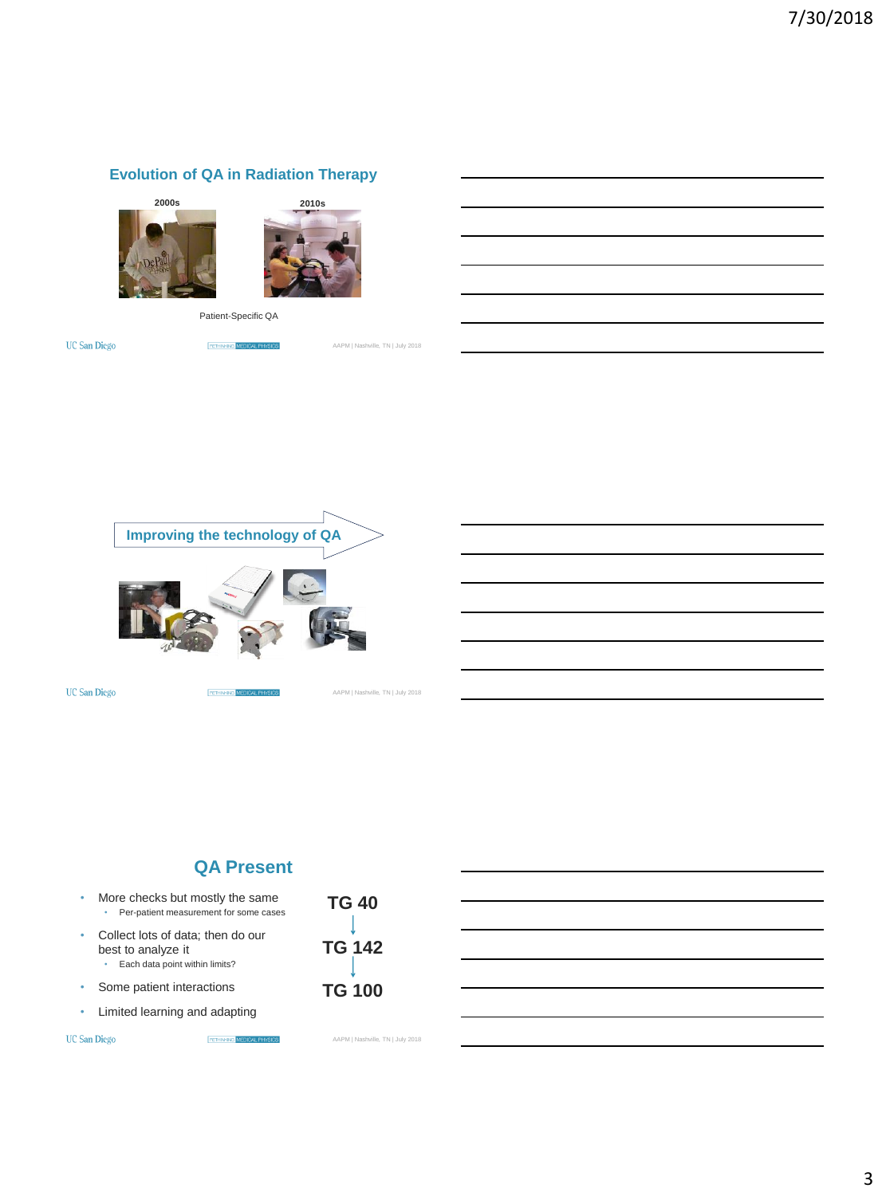### **Evolution of QA in Radiation Therapy**





Patient-Specific QA

**UC San Diego** 

**FEIRINGS** MEDICAL PHYSICS

AAPM | Nashville, TN | July 2018



RETHNKING MEDIC

**UC San Diego** 

AAPM | Nashville, TN | July 2018

## **QA Present**

**BETHINGNS MEDICAL PHYSICS** 

- More checks but mostly the same • Per-patient measurement for some cases
- Collect lots of data; then do our best to analyze it • Each data point within limits?
- Some patient interactions
- Limited learning and adapting

**UC San Diego** 

**TG 40 TG 142 TG 100**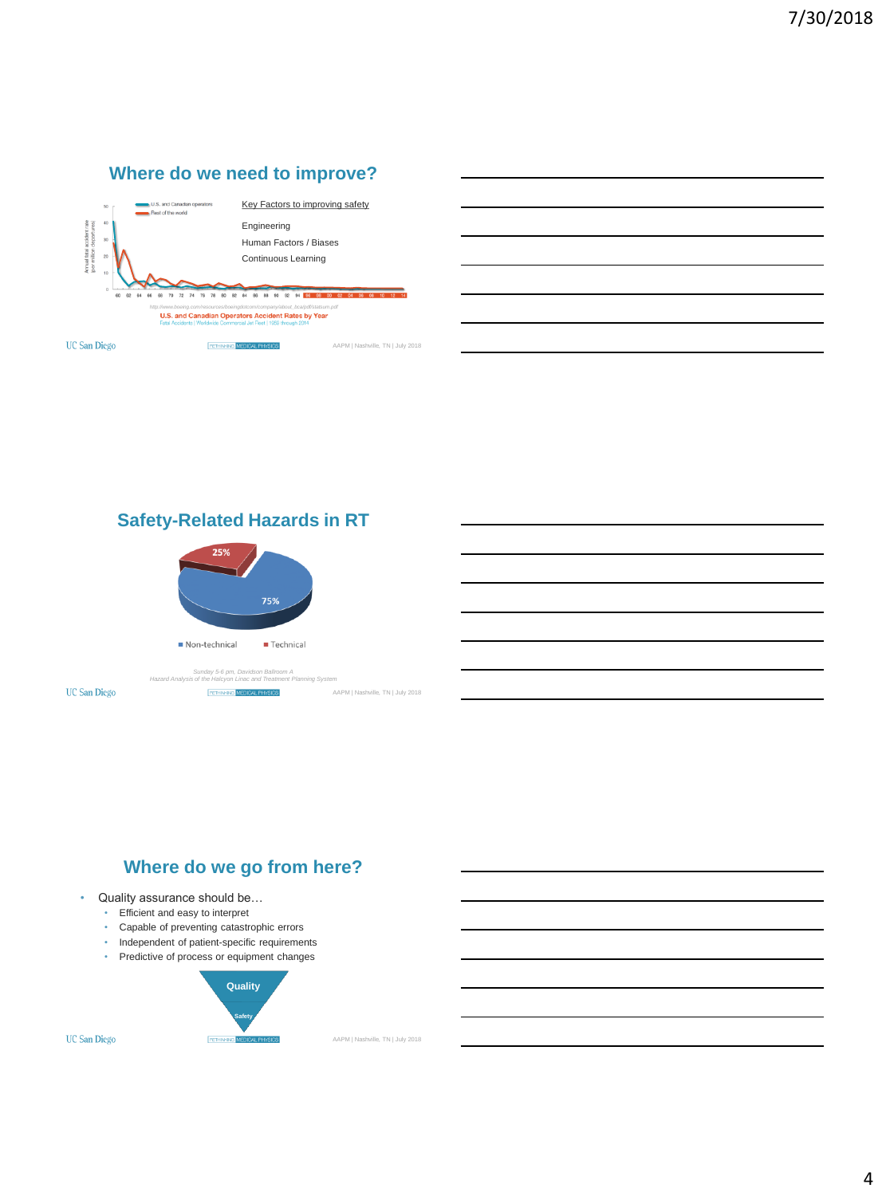

**Safety-Related Hazards in RT**



*Sunday 5-6 pm, Davidson Ballroom A Hazard Analysis of the Halcyon Linac and Treatment Planning System*

**RETHINGNS MEDICAL PHYSICS** 

**UC San Diego** 



- Quality assurance should be...
	- Efficient and easy to interpret
	- Capable of preventing catastrophic errors
	- Independent of patient-specific requirements
	- Predictive of process or equipment changes



AAPM | Nashville, TN | July 2018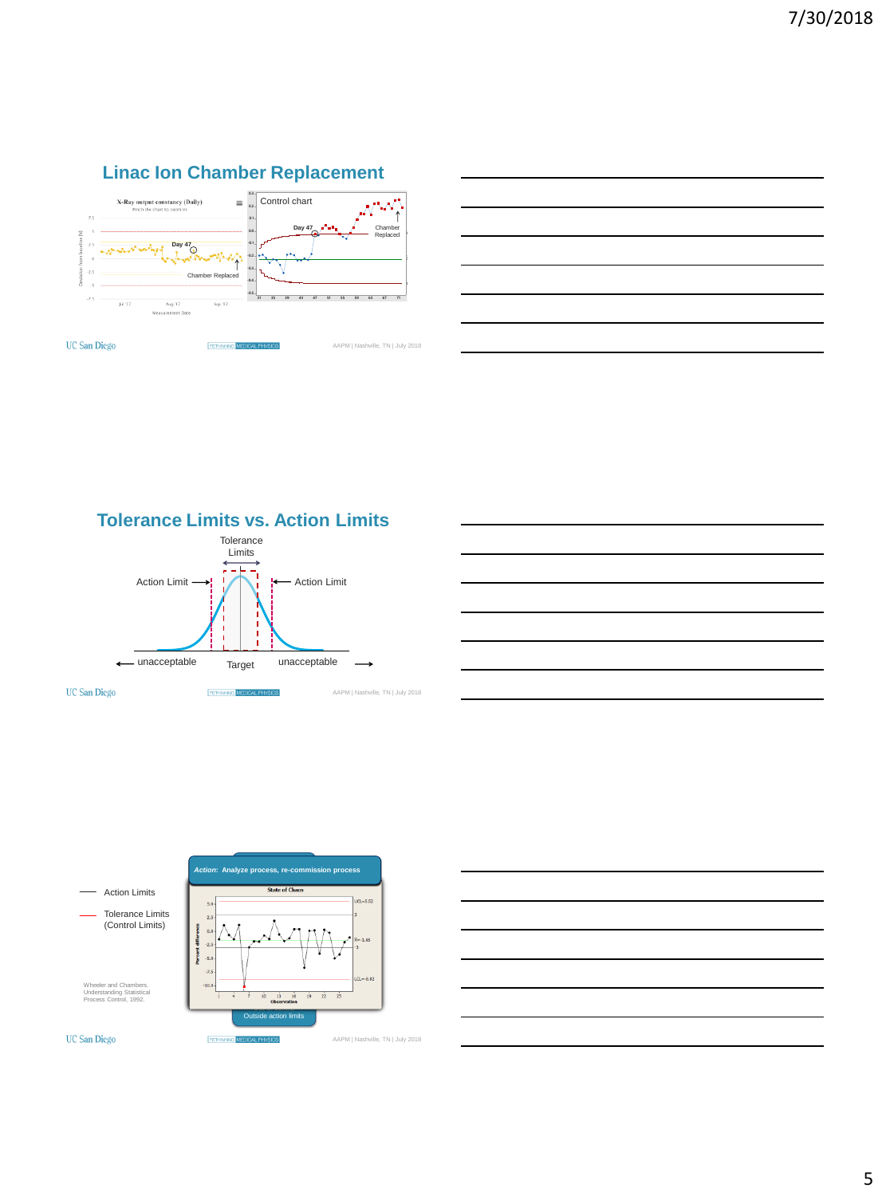











#### **UC San Diego**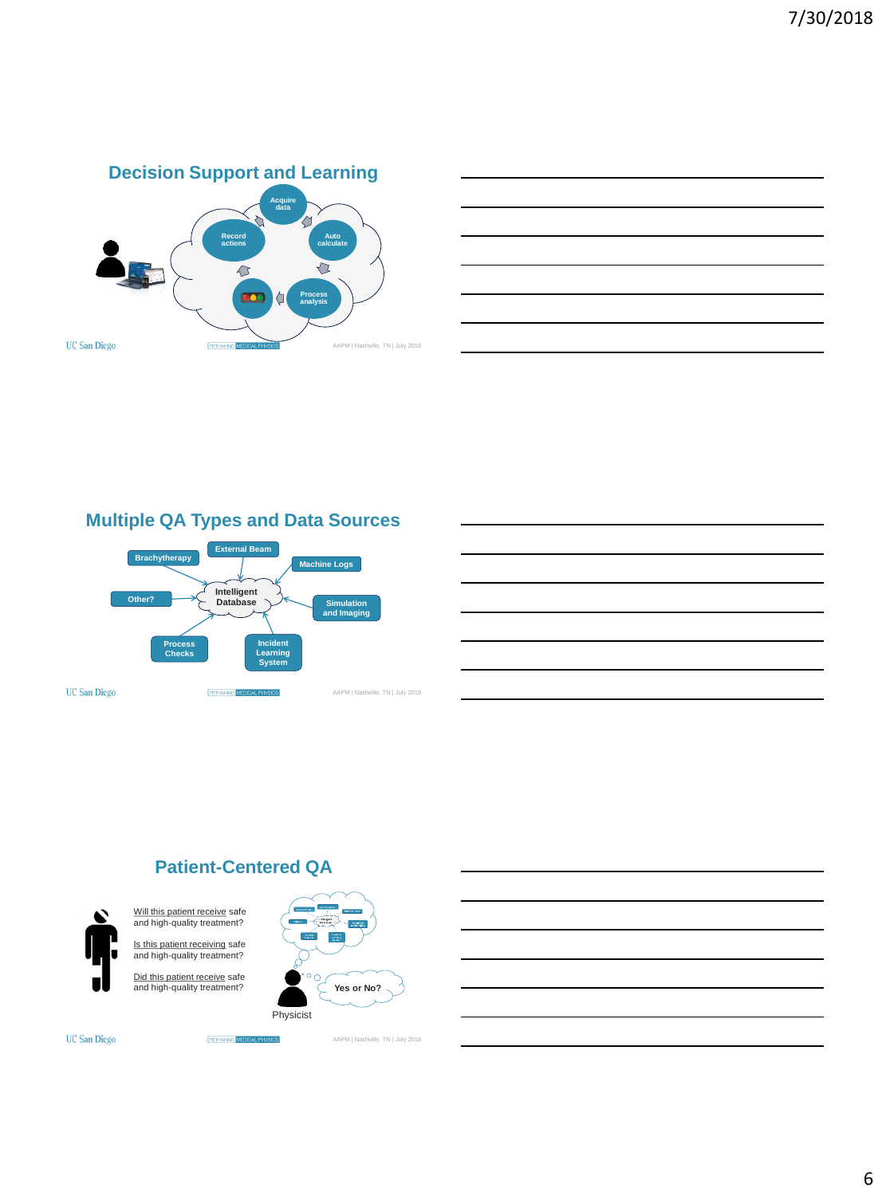



## **Multiple QA Types and Data Sources**



## **Patient-Centered QA**

**RETHNANG MEDICA** 



Will this patient receive safe and high-quality treatment? Is this patient receiving safe and high-quality treatment?

Did this patient receive safe and high-quality treatment?



**UC San Diego**